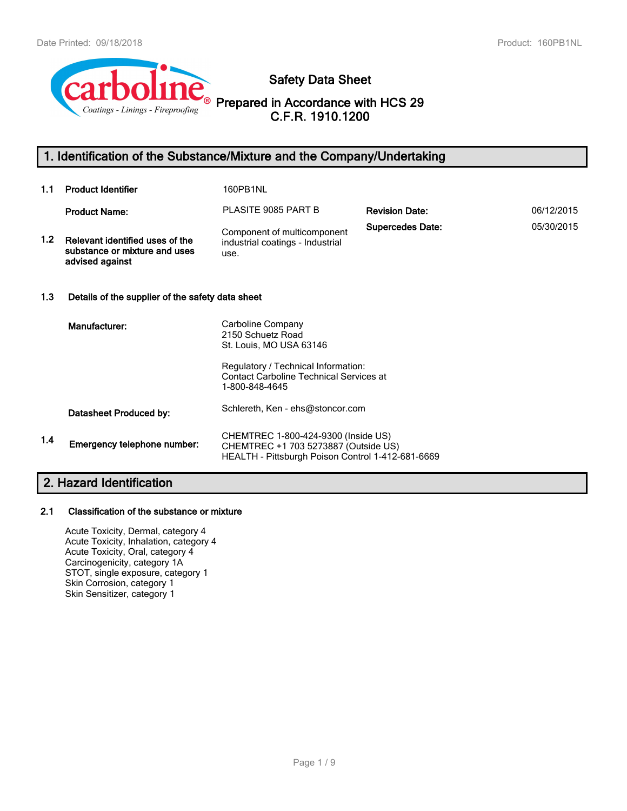

# **Safety Data Sheet**

# **Prepared in Accordance with HCS 29 C.F.R. 1910.1200**

# **1. Identification of the Substance/Mixture and the Company/Undertaking**

| 1.1 | <b>Product Identifier</b>                                                           | 160PB1NL                                                                                                                                                   |                         |            |  |  |
|-----|-------------------------------------------------------------------------------------|------------------------------------------------------------------------------------------------------------------------------------------------------------|-------------------------|------------|--|--|
|     | <b>Product Name:</b>                                                                | PLASITE 9085 PART B                                                                                                                                        | <b>Revision Date:</b>   | 06/12/2015 |  |  |
| 1.2 | Relevant identified uses of the<br>substance or mixture and uses<br>advised against | Component of multicomponent<br>industrial coatings - Industrial<br>use.                                                                                    | <b>Supercedes Date:</b> | 05/30/2015 |  |  |
| 1.3 | Details of the supplier of the safety data sheet                                    |                                                                                                                                                            |                         |            |  |  |
|     | Manufacturer:                                                                       | Carboline Company<br>2150 Schuetz Road<br>St. Louis, MO USA 63146<br>Regulatory / Technical Information:<br><b>Contact Carboline Technical Services at</b> |                         |            |  |  |
|     |                                                                                     | 1-800-848-4645                                                                                                                                             |                         |            |  |  |
|     | Datasheet Produced by:                                                              | Schlereth, Ken - ehs@stoncor.com                                                                                                                           |                         |            |  |  |
| 1.4 | Emergency telephone number:                                                         | CHEMTREC 1-800-424-9300 (Inside US)<br>CHEMTREC +1 703 5273887 (Outside US)<br>HEALTH - Pittsburgh Poison Control 1-412-681-6669                           |                         |            |  |  |

# **2. Hazard Identification**

#### **2.1 Classification of the substance or mixture**

Acute Toxicity, Dermal, category 4 Acute Toxicity, Inhalation, category 4 Acute Toxicity, Oral, category 4 Carcinogenicity, category 1A STOT, single exposure, category 1 Skin Corrosion, category 1 Skin Sensitizer, category 1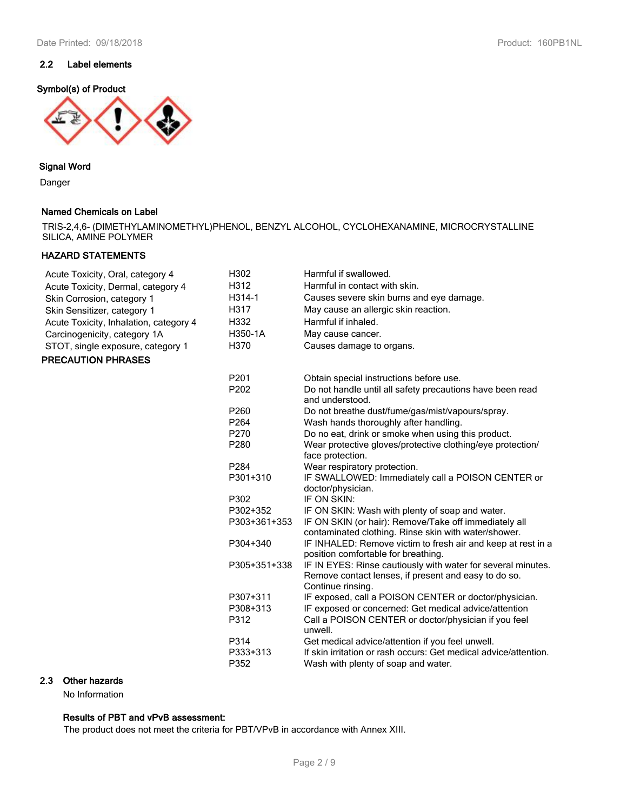## **2.2 Label elements**

## **Symbol(s) of Product**



#### **Signal Word**

Danger

#### **Named Chemicals on Label**

TRIS-2,4,6- (DIMETHYLAMINOMETHYL)PHENOL, BENZYL ALCOHOL, CYCLOHEXANAMINE, MICROCRYSTALLINE SILICA, AMINE POLYMER

## **HAZARD STATEMENTS**

| Acute Toxicity, Oral, category 4       | H302             | Harmful if swallowed.                                                                                                                     |
|----------------------------------------|------------------|-------------------------------------------------------------------------------------------------------------------------------------------|
| Acute Toxicity, Dermal, category 4     | H312             | Harmful in contact with skin.                                                                                                             |
| Skin Corrosion, category 1             | H314-1           | Causes severe skin burns and eye damage.                                                                                                  |
| Skin Sensitizer, category 1            | H317             | May cause an allergic skin reaction.                                                                                                      |
| Acute Toxicity, Inhalation, category 4 | H332             | Harmful if inhaled.                                                                                                                       |
| Carcinogenicity, category 1A           | H350-1A          | May cause cancer.                                                                                                                         |
| STOT, single exposure, category 1      | H370             | Causes damage to organs.                                                                                                                  |
| <b>PRECAUTION PHRASES</b>              |                  |                                                                                                                                           |
|                                        | P201             | Obtain special instructions before use.                                                                                                   |
|                                        | P <sub>202</sub> | Do not handle until all safety precautions have been read<br>and understood.                                                              |
|                                        | P260             | Do not breathe dust/fume/gas/mist/vapours/spray.                                                                                          |
|                                        | P <sub>264</sub> | Wash hands thoroughly after handling.                                                                                                     |
|                                        | P270             | Do no eat, drink or smoke when using this product.                                                                                        |
|                                        | P280             | Wear protective gloves/protective clothing/eye protection/<br>face protection.                                                            |
|                                        | P <sub>284</sub> | Wear respiratory protection.                                                                                                              |
|                                        | P301+310         | IF SWALLOWED: Immediately call a POISON CENTER or<br>doctor/physician.                                                                    |
|                                        | P302             | IF ON SKIN:                                                                                                                               |
|                                        | P302+352         | IF ON SKIN: Wash with plenty of soap and water.                                                                                           |
|                                        | P303+361+353     | IF ON SKIN (or hair): Remove/Take off immediately all<br>contaminated clothing. Rinse skin with water/shower.                             |
|                                        | P304+340         | IF INHALED: Remove victim to fresh air and keep at rest in a<br>position comfortable for breathing.                                       |
|                                        | P305+351+338     | IF IN EYES: Rinse cautiously with water for several minutes.<br>Remove contact lenses, if present and easy to do so.<br>Continue rinsing. |
|                                        | P307+311         | IF exposed, call a POISON CENTER or doctor/physician.                                                                                     |
|                                        | P308+313<br>P312 | IF exposed or concerned: Get medical advice/attention<br>Call a POISON CENTER or doctor/physician if you feel<br>unwell.                  |
|                                        | P314             | Get medical advice/attention if you feel unwell.                                                                                          |
|                                        | P333+313<br>P352 | If skin irritation or rash occurs: Get medical advice/attention.<br>Wash with plenty of soap and water.                                   |
|                                        |                  |                                                                                                                                           |

#### **2.3 Other hazards**

No Information

## **Results of PBT and vPvB assessment:**

The product does not meet the criteria for PBT/VPvB in accordance with Annex XIII.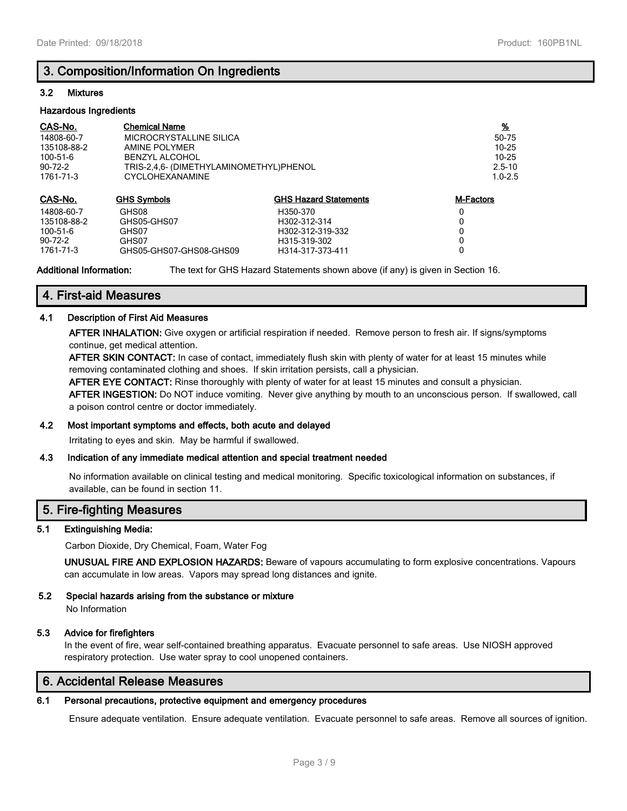## **3. Composition/Information On Ingredients**

#### **3.2 Mixtures**

#### **Hazardous Ingredients**

| CAS-No.       | <b>Chemical Name</b>                    |                              | $\frac{9}{6}$    |
|---------------|-----------------------------------------|------------------------------|------------------|
| 14808-60-7    | MICROCRYSTALLINE SILICA                 |                              | 50-75            |
| 135108-88-2   | AMINE POLYMER                           |                              | 10-25            |
| 100-51-6      | <b>BENZYL ALCOHOL</b>                   |                              | $10 - 25$        |
| $90 - 72 - 2$ | TRIS-2,4,6- (DIMETHYLAMINOMETHYL)PHENOL |                              | $2.5 - 10$       |
| 1761-71-3     | <b>CYCLOHEXANAMINE</b>                  | $1.0 - 2.5$                  |                  |
| CAS-No.       | <b>GHS Symbols</b>                      | <b>GHS Hazard Statements</b> | <b>M-Factors</b> |
| 14808-60-7    | GHS08                                   | H350-370                     | 0                |
| 135108-88-2   | GHS05-GHS07                             | H302-312-314                 | 0                |
| 100-51-6      | GHS07                                   | H302-312-319-332             | 0                |
| $90 - 72 - 2$ | GHS07                                   | H315-319-302                 | 0                |
| 1761-71-3     | GHS05-GHS07-GHS08-GHS09                 | H314-317-373-411             | 0                |

**Additional Information:** The text for GHS Hazard Statements shown above (if any) is given in Section 16.

## **4. First-aid Measures**

#### **4.1 Description of First Aid Measures**

**AFTER INHALATION:** Give oxygen or artificial respiration if needed. Remove person to fresh air. If signs/symptoms continue, get medical attention.

**AFTER SKIN CONTACT:** In case of contact, immediately flush skin with plenty of water for at least 15 minutes while removing contaminated clothing and shoes. If skin irritation persists, call a physician.

**AFTER EYE CONTACT:** Rinse thoroughly with plenty of water for at least 15 minutes and consult a physician.

**AFTER INGESTION:** Do NOT induce vomiting. Never give anything by mouth to an unconscious person. If swallowed, call a poison control centre or doctor immediately.

#### **4.2 Most important symptoms and effects, both acute and delayed**

Irritating to eyes and skin. May be harmful if swallowed.

#### **4.3 Indication of any immediate medical attention and special treatment needed**

No information available on clinical testing and medical monitoring. Specific toxicological information on substances, if available, can be found in section 11.

## **5. Fire-fighting Measures**

#### **5.1 Extinguishing Media:**

Carbon Dioxide, Dry Chemical, Foam, Water Fog

**UNUSUAL FIRE AND EXPLOSION HAZARDS:** Beware of vapours accumulating to form explosive concentrations. Vapours can accumulate in low areas. Vapors may spread long distances and ignite.

#### **5.2 Special hazards arising from the substance or mixture** No Information

#### **5.3 Advice for firefighters**

In the event of fire, wear self-contained breathing apparatus. Evacuate personnel to safe areas. Use NIOSH approved respiratory protection. Use water spray to cool unopened containers.

## **6. Accidental Release Measures**

## **6.1 Personal precautions, protective equipment and emergency procedures**

Ensure adequate ventilation. Ensure adequate ventilation. Evacuate personnel to safe areas. Remove all sources of ignition.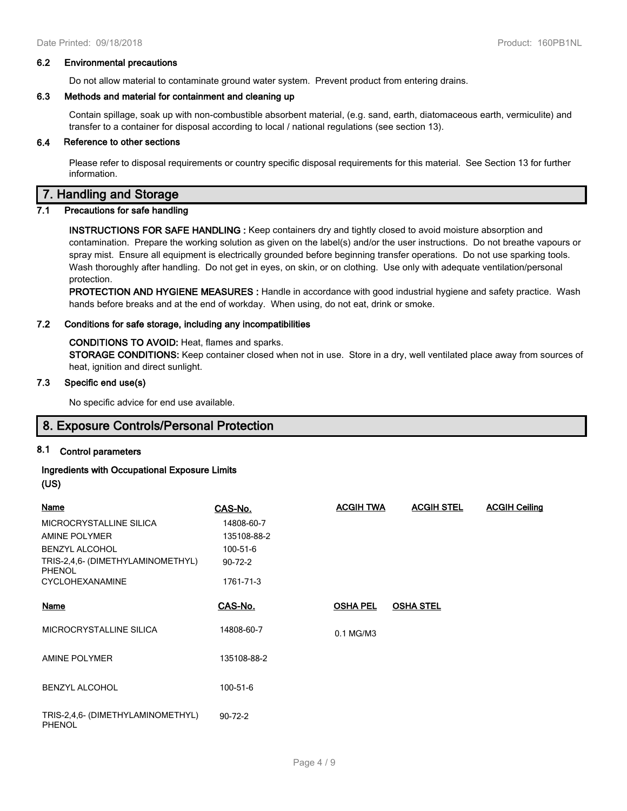#### **6.2 Environmental precautions**

Do not allow material to contaminate ground water system. Prevent product from entering drains.

#### **6.3 Methods and material for containment and cleaning up**

Contain spillage, soak up with non-combustible absorbent material, (e.g. sand, earth, diatomaceous earth, vermiculite) and transfer to a container for disposal according to local / national regulations (see section 13).

#### **6.4 Reference to other sections**

Please refer to disposal requirements or country specific disposal requirements for this material. See Section 13 for further information.

## **7. Handling and Storage**

#### **7.1 Precautions for safe handling**

**INSTRUCTIONS FOR SAFE HANDLING :** Keep containers dry and tightly closed to avoid moisture absorption and contamination. Prepare the working solution as given on the label(s) and/or the user instructions. Do not breathe vapours or spray mist. Ensure all equipment is electrically grounded before beginning transfer operations. Do not use sparking tools. Wash thoroughly after handling. Do not get in eyes, on skin, or on clothing. Use only with adequate ventilation/personal protection.

**PROTECTION AND HYGIENE MEASURES :** Handle in accordance with good industrial hygiene and safety practice. Wash hands before breaks and at the end of workday. When using, do not eat, drink or smoke.

#### **7.2 Conditions for safe storage, including any incompatibilities**

**CONDITIONS TO AVOID:** Heat, flames and sparks. **STORAGE CONDITIONS:** Keep container closed when not in use. Store in a dry, well ventilated place away from sources of heat, ignition and direct sunlight.

#### **7.3 Specific end use(s)**

No specific advice for end use available.

## **8. Exposure Controls/Personal Protection**

### **8.1 Control parameters**

# **Ingredients with Occupational Exposure Limits**

**(US)**

| <b>Name</b>                                        | CAS-No.       | <b>ACGIH TWA</b> | <b>ACGIH STEL</b> | <b>ACGIH Ceiling</b> |
|----------------------------------------------------|---------------|------------------|-------------------|----------------------|
| MICROCRYSTALLINE SILICA                            | 14808-60-7    |                  |                   |                      |
| AMINE POLYMER                                      | 135108-88-2   |                  |                   |                      |
| <b>BENZYL ALCOHOL</b>                              | 100-51-6      |                  |                   |                      |
| TRIS-2,4,6- (DIMETHYLAMINOMETHYL)<br><b>PHENOL</b> | $90 - 72 - 2$ |                  |                   |                      |
| <b>CYCLOHEXANAMINE</b>                             | 1761-71-3     |                  |                   |                      |
|                                                    |               |                  |                   |                      |
| <b>Name</b>                                        | CAS-No.       | <b>OSHA PEL</b>  | <b>OSHA STEL</b>  |                      |
| MICROCRYSTALLINE SILICA                            | 14808-60-7    | 0.1 MG/M3        |                   |                      |
| <b>AMINE POLYMER</b>                               | 135108-88-2   |                  |                   |                      |
| <b>BENZYL ALCOHOL</b>                              | 100-51-6      |                  |                   |                      |
| TRIS-2,4,6- (DIMETHYLAMINOMETHYL)<br><b>PHENOL</b> | $90 - 72 - 2$ |                  |                   |                      |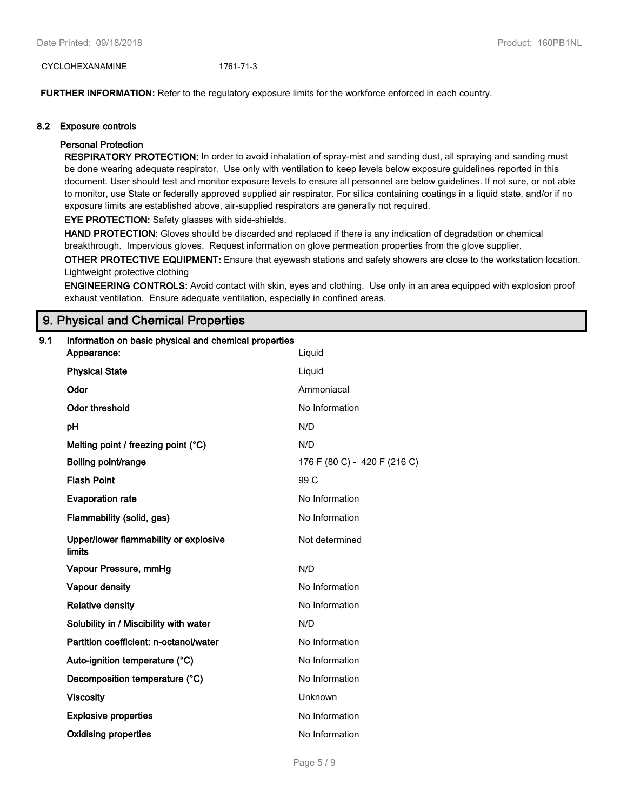CYCLOHEXANAMINE 1761-71-3

**FURTHER INFORMATION:** Refer to the regulatory exposure limits for the workforce enforced in each country.

#### **8.2 Exposure controls**

#### **Personal Protection**

**RESPIRATORY PROTECTION:** In order to avoid inhalation of spray-mist and sanding dust, all spraying and sanding must be done wearing adequate respirator. Use only with ventilation to keep levels below exposure guidelines reported in this document. User should test and monitor exposure levels to ensure all personnel are below guidelines. If not sure, or not able to monitor, use State or federally approved supplied air respirator. For silica containing coatings in a liquid state, and/or if no exposure limits are established above, air-supplied respirators are generally not required.

**EYE PROTECTION:** Safety glasses with side-shields.

**HAND PROTECTION:** Gloves should be discarded and replaced if there is any indication of degradation or chemical breakthrough. Impervious gloves. Request information on glove permeation properties from the glove supplier.

**OTHER PROTECTIVE EQUIPMENT:** Ensure that eyewash stations and safety showers are close to the workstation location. Lightweight protective clothing

**ENGINEERING CONTROLS:** Avoid contact with skin, eyes and clothing. Use only in an area equipped with explosion proof exhaust ventilation. Ensure adequate ventilation, especially in confined areas.

## **9. Physical and Chemical Properties**

| 9.1 | Information on basic physical and chemical properties |                              |  |  |
|-----|-------------------------------------------------------|------------------------------|--|--|
|     | Appearance:                                           | Liquid                       |  |  |
|     | <b>Physical State</b>                                 | Liquid                       |  |  |
|     | Odor                                                  | Ammoniacal                   |  |  |
|     | <b>Odor threshold</b>                                 | No Information               |  |  |
|     | pH                                                    | N/D                          |  |  |
|     | Melting point / freezing point (°C)                   | N/D                          |  |  |
|     | Boiling point/range                                   | 176 F (80 C) - 420 F (216 C) |  |  |
|     | <b>Flash Point</b>                                    | 99 C                         |  |  |
|     | <b>Evaporation rate</b>                               | No Information               |  |  |
|     | Flammability (solid, gas)                             | No Information               |  |  |
|     | Upper/lower flammability or explosive<br>limits       | Not determined               |  |  |
|     | Vapour Pressure, mmHg                                 | N/D                          |  |  |
|     | Vapour density                                        | No Information               |  |  |
|     | <b>Relative density</b>                               | No Information               |  |  |
|     | Solubility in / Miscibility with water                | N/D                          |  |  |
|     | Partition coefficient: n-octanol/water                | No Information               |  |  |
|     | Auto-ignition temperature (°C)                        | No Information               |  |  |
|     | Decomposition temperature (°C)                        | No Information               |  |  |
|     | <b>Viscosity</b>                                      | Unknown                      |  |  |
|     | <b>Explosive properties</b>                           | No Information               |  |  |
|     | <b>Oxidising properties</b>                           | No Information               |  |  |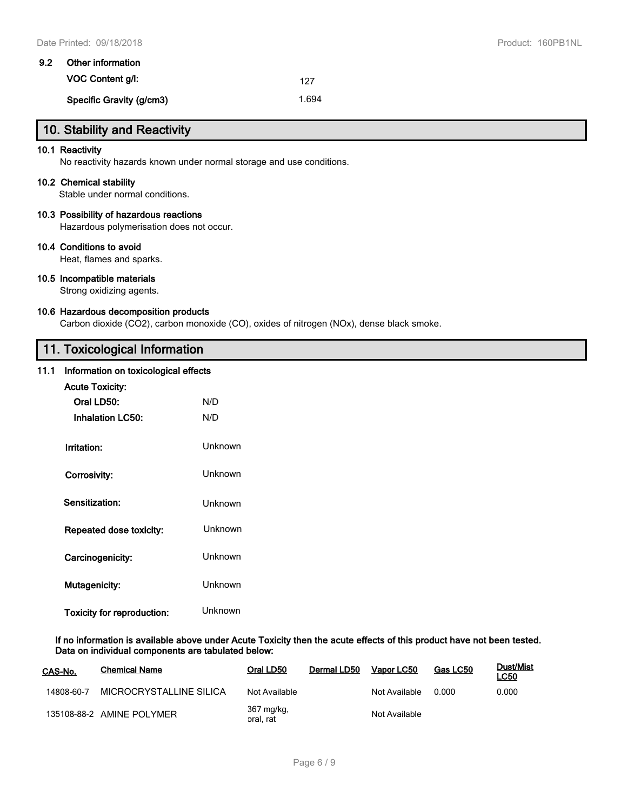| 9.2 | Other information        |       |  |  |
|-----|--------------------------|-------|--|--|
|     | <b>VOC Content a/l:</b>  | 127   |  |  |
|     | Specific Gravity (g/cm3) | 1.694 |  |  |

# **10. Stability and Reactivity**

#### **10.1 Reactivity**

No reactivity hazards known under normal storage and use conditions.

#### **10.2 Chemical stability**

Stable under normal conditions.

## **10.3 Possibility of hazardous reactions**

Hazardous polymerisation does not occur.

#### **10.4 Conditions to avoid**

Heat, flames and sparks.

#### **10.5 Incompatible materials**

Strong oxidizing agents.

#### **10.6 Hazardous decomposition products**

Carbon dioxide (CO2), carbon monoxide (CO), oxides of nitrogen (NOx), dense black smoke.

## **11. Toxicological Information**

## **11.1 Information on toxicological effects**

| <b>Acute Toxicity:</b>     |                |  |  |  |  |
|----------------------------|----------------|--|--|--|--|
| Oral LD50:                 | N/D            |  |  |  |  |
| <b>Inhalation LC50:</b>    | N/D            |  |  |  |  |
| Irritation:                | Unknown        |  |  |  |  |
| Corrosivity:               | Unknown        |  |  |  |  |
| Sensitization:             | Unknown        |  |  |  |  |
| Repeated dose toxicity:    | Unknown        |  |  |  |  |
| Carcinogenicity:           | <b>Unknown</b> |  |  |  |  |
| Mutagenicity:              | Unknown        |  |  |  |  |
| Toxicity for reproduction: | Unknown        |  |  |  |  |

**If no information is available above under Acute Toxicity then the acute effects of this product have not been tested. Data on individual components are tabulated below:**

| CAS-No.    | <b>Chemical Name</b>      | Oral LD50               | Dermal LD50 | Vapor LC50    | Gas LC50 | Dust/Mist<br><b>LC50</b> |
|------------|---------------------------|-------------------------|-------------|---------------|----------|--------------------------|
| 14808-60-7 | MICROCRYSTALLINE SILICA   | Not Available           |             | Not Available | 0.000    | 0.000                    |
|            | 135108-88-2 AMINE POLYMER | 367 mg/kg,<br>oral, rat |             | Not Available |          |                          |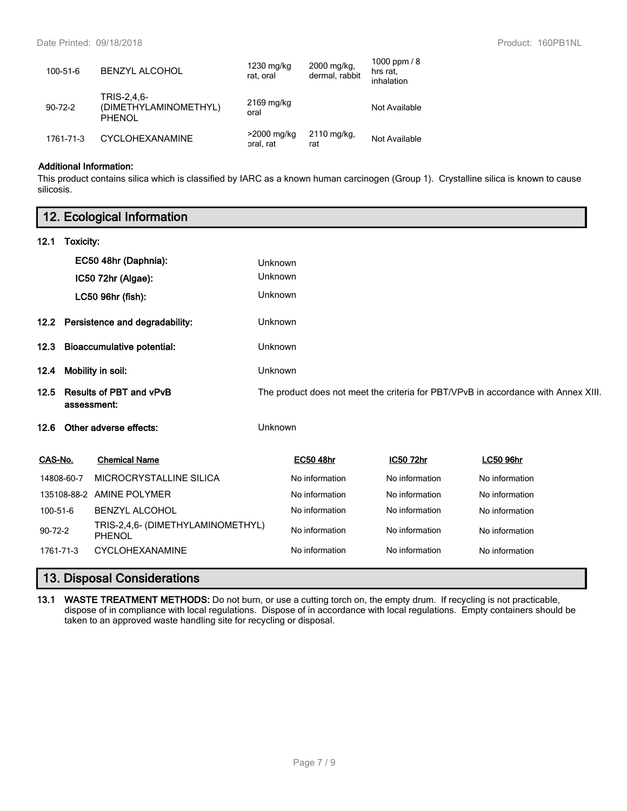| 100-51-6      | <b>BENZYL ALCOHOL</b>                                 | 1230 mg/kg<br>rat, oral  | 2000 mg/kg,<br>dermal, rabbit | 1000 ppm $/ 8$<br>hrs rat.<br>inhalation |
|---------------|-------------------------------------------------------|--------------------------|-------------------------------|------------------------------------------|
| $90 - 72 - 2$ | TRIS-2,4,6-<br>(DIMETHYLAMINOMETHYL)<br><b>PHENOL</b> | $2169$ mg/kg<br>oral     |                               | Not Available                            |
| 1761-71-3     | <b>CYCLOHEXANAMINE</b>                                | >2000 mg/kg<br>oral, rat | 2110 mg/kg,<br>rat            | Not Available                            |

## **Additional Information:**

This product contains silica which is classified by IARC as a known human carcinogen (Group 1). Crystalline silica is known to cause silicosis.

|                                | 12. Ecological Information                    |                                             |                                                                                    |                  |                |                  |  |
|--------------------------------|-----------------------------------------------|---------------------------------------------|------------------------------------------------------------------------------------|------------------|----------------|------------------|--|
| 12.1                           | Toxicity:                                     |                                             |                                                                                    |                  |                |                  |  |
|                                |                                               | EC50 48hr (Daphnia):                        | Unknown                                                                            |                  |                |                  |  |
|                                |                                               | IC50 72hr (Algae):                          | Unknown                                                                            |                  |                |                  |  |
|                                |                                               | LC50 96hr (fish):                           | Unknown                                                                            |                  |                |                  |  |
| $12.2^{\circ}$                 |                                               | Persistence and degradability:              | Unknown                                                                            |                  |                |                  |  |
| 12.3                           |                                               | <b>Bioaccumulative potential:</b>           | Unknown                                                                            |                  |                |                  |  |
| 12.4                           | Mobility in soil:                             |                                             | Unknown                                                                            |                  |                |                  |  |
| 12.5                           | <b>Results of PBT and vPvB</b><br>assessment: |                                             | The product does not meet the criteria for PBT/VPvB in accordance with Annex XIII. |                  |                |                  |  |
| Other adverse effects:<br>12.6 |                                               | Unknown                                     |                                                                                    |                  |                |                  |  |
| CAS-No.                        |                                               | <b>Chemical Name</b>                        |                                                                                    | <b>EC50 48hr</b> | IC50 72hr      | <b>LC50 96hr</b> |  |
| 14808-60-7                     |                                               | MICROCRYSTALLINE SILICA                     |                                                                                    | No information   | No information | No information   |  |
|                                |                                               | 135108-88-2 AMINE POLYMER                   |                                                                                    | No information   | No information | No information   |  |
| 100-51-6                       |                                               | <b>BENZYL ALCOHOL</b>                       |                                                                                    | No information   | No information | No information   |  |
| $90 - 72 - 2$                  |                                               | TRIS-2,4,6- (DIMETHYLAMINOMETHYL)<br>PHENOL |                                                                                    | No information   | No information | No information   |  |
| 1761-71-3                      |                                               | CYCLOHEXANAMINE                             |                                                                                    | No information   | No information | No information   |  |

# **13. Disposal Considerations**

**13.1 WASTE TREATMENT METHODS:** Do not burn, or use a cutting torch on, the empty drum. If recycling is not practicable, dispose of in compliance with local regulations. Dispose of in accordance with local regulations. Empty containers should be taken to an approved waste handling site for recycling or disposal.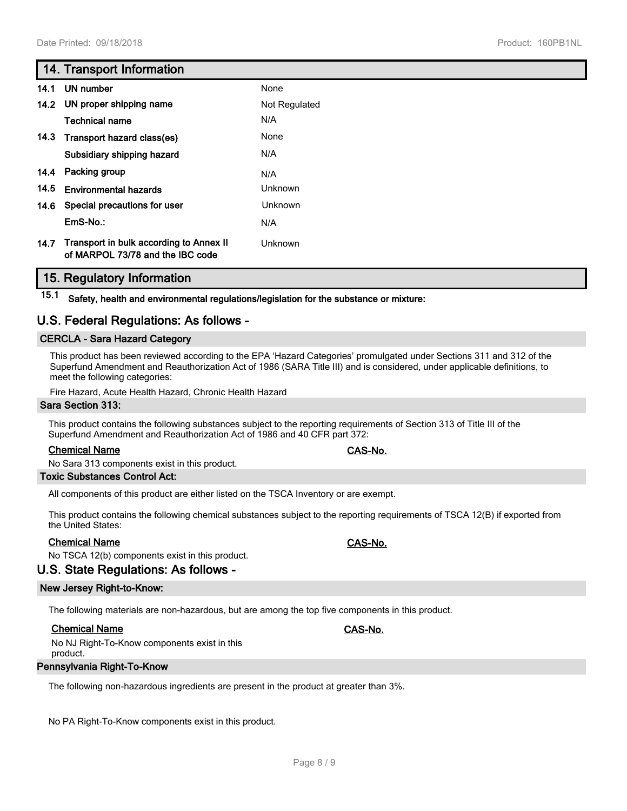## **14. Transport Information**

| 14.1 | UN number                                                                   | None          |
|------|-----------------------------------------------------------------------------|---------------|
|      | 14.2 UN proper shipping name                                                | Not Regulated |
|      | <b>Technical name</b>                                                       | N/A           |
| 14.3 | Transport hazard class(es)                                                  | None          |
|      | Subsidiary shipping hazard                                                  | N/A           |
| 14.4 | Packing group                                                               | N/A           |
| 14.5 | <b>Environmental hazards</b>                                                | Unknown       |
| 14.6 | Special precautions for user                                                | Unknown       |
|      | $EmS-No.$ :                                                                 | N/A           |
| 14.7 | Transport in bulk according to Annex II<br>of MARPOL 73/78 and the IBC code | Unknown       |

## **15. Regulatory Information**

**15.1 Safety, health and environmental regulations/legislation for the substance or mixture:**

## **U.S. Federal Regulations: As follows -**

### **CERCLA - Sara Hazard Category**

This product has been reviewed according to the EPA 'Hazard Categories' promulgated under Sections 311 and 312 of the Superfund Amendment and Reauthorization Act of 1986 (SARA Title III) and is considered, under applicable definitions, to meet the following categories:

Fire Hazard, Acute Health Hazard, Chronic Health Hazard

#### **Sara Section 313:**

This product contains the following substances subject to the reporting requirements of Section 313 of Title III of the Superfund Amendment and Reauthorization Act of 1986 and 40 CFR part 372:

### **Chemical Name CAS-No.**

No Sara 313 components exist in this product.

#### **Toxic Substances Control Act:**

All components of this product are either listed on the TSCA Inventory or are exempt.

This product contains the following chemical substances subject to the reporting requirements of TSCA 12(B) if exported from the United States:

#### **Chemical Name CAS-No.**

No TSCA 12(b) components exist in this product.

## **U.S. State Regulations: As follows -**

#### **New Jersey Right-to-Know:**

The following materials are non-hazardous, but are among the top five components in this product.

#### **Chemical Name CAS-No.**

No NJ Right-To-Know components exist in this product.

#### **Pennsylvania Right-To-Know**

The following non-hazardous ingredients are present in the product at greater than 3%.

No PA Right-To-Know components exist in this product.